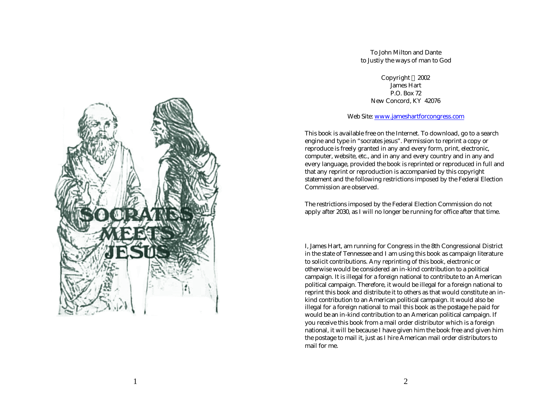To John Milton and Dante to Justiy the ways of man to God

> Copyright 2002 James Hart P.O. Box 72 New Concord, KY 42076

Web Site: www.jameshartforcongress.com

This book is available free on the Internet. To download, go to a search engine and type in "socrates jesus". Permission to reprint a copy or reproduce is freely granted in any and every form, print, electronic, computer, website, etc., and in any and every country and in any and every language, provided the book is reprinted or reproduced in full and that any reprint or reproduction is accompanied by this copyright statement and the following restrictions imposed by the Federal Election Commission are observed.

The restrictions imposed by the Federal Election Commission do not apply after 2030, as I will no longer be running for office after that time.

I, James Hart, am running for Congress in the 8th Congressional District in the state of Tennessee and I am using this book as campaign literature to solicit contributions. Any reprinting of this book, electronic or otherwise would be considered an in -kind contribution to a political campaign. It is illegal for a foreign national to contribute to an American political campaign. Therefore, it would be illegal for a foreign national to reprint this book and distribute it to others as that would constitute an in kind contribution to an American political campaign. It would also be illegal for a foreign national to mail this book as the postage he paid for would be an in -kind contribution to an American political campaign. If you receive this book from a mail order distributor which is a foreign national, it will be because I have given him the book free and given him the postage to mail it, just as I hire American mail order distributors to mail for me.

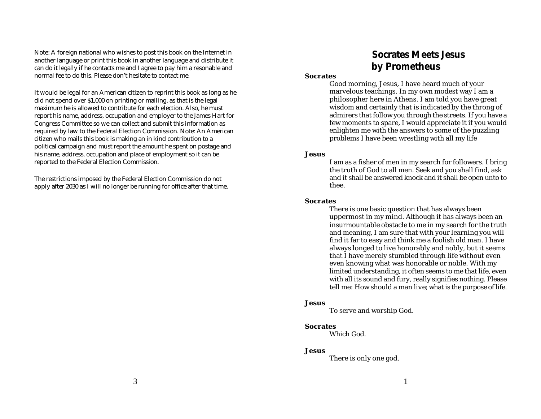Note: A foreign national who wishes to post this book on the Internet in another language or print this book in another language and distribute it can do it legally if he contacts me and I agree to pay him a resonable and normal fee to do this. Please don't hesitate to contact me.

It would be legal for an American citizen to reprint this book as long as he did not spend over \$1,000 on printing or mailing, as that is the legal maximum he is allowed to contribute for each election. Also, he must report his name, address, occupation and employer to the James Hart for Congress Committee so we can collect and submit this information as required by law to the Federal Election Commission. Note: An American citizen who mails this book is making an in kind contribution to a political campaign and must report the amount he spent on postage and his name, address, occupation and place of employment so it can be reported to the Federal Election Commission.

The restrictions imposed by the Federal Election Commission do not apply after 2030 as I will no longer be running for office after that time.

# **Socrates Meets Jesus by Prometheus**

### **Socrates**

Good morning, Jesus, I have heard much of your marvelous teachings. In my own modest way I am a philosopher here in Athens. I am told you have great wisdom and certainly that is indicated by the throng of admirers that follow you through the streets. If you have a few moments to spare, I would appreciate it if you would enlighten me with the answers to some of the puzzling problems I have been wrestling with all my life

# **Jesus**

I am as a fisher of men in my search for followers. I bring the truth of God to all men. Seek and you shall find, ask and it shall be answered knock and it shall be open unto to thee.

# **Socrates**

There is one basic question that has always been uppermost in my mind. Although it has always been an insurmountable obstacle to me in my search for the truth and meaning, I am sure that with your learning you will find it far to easy and think me a foolish old man. I have always longed to live honorably and nobly, but it seems that I have merely stumbled through life without even even knowing what was honorable or noble. With my limited understanding, it often seems to me that life, even with all its sound and fury, really signifies nothing. Please tell me: How should a man live; what is the purpose of life.

# **Jesus**

To serve and worship God.

# **Socrates**

Which God.

# **Jesus**

There is only one god.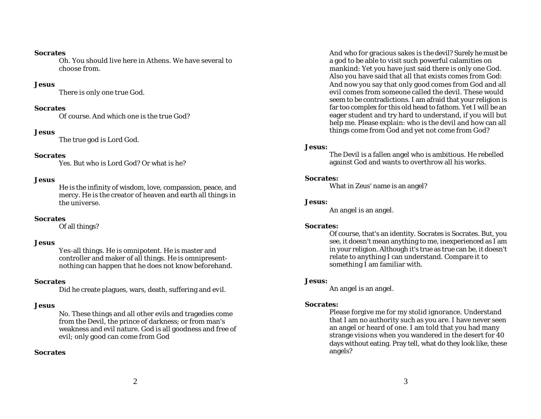### **Socrates**

Oh. You should live here in Athens. We have several to choose from.

### **Jesus**

There is only one true God.

### **Socrates**

Of course. And which one is the true God?

#### **Jesus**

The true god is Lord God.

### **Socrates**

Yes. But who is Lord God? Or what is he?

### **Jesus**

He is the infinity of wisdom, love, compassion, peace, and mercy. He is the creator of heaven and earth all things in the universe.

### **Socrates**

Of all things?

### **Jesus**

Yes-all things. He is omnipotent. He is master and controller and maker of all things. He is omnipresentnothing can happen that he does not know beforehand.

### **Socrates**

Did he create plagues, wars, death, suffering and evil.

### **Jesus**

No. These things and all other evils and tragedies come from the Devil, the prince of darkness; or from man's weakness and evil nature. God is all goodness and free of evil; only good can come from God

### **Socrates**

And who for gracious sakes is the devil? Surely he must be a god to be able to visit such powerful calamities on mankind: Yet you have just said there is only one God. Also you have said that all that exists comes from God: And now you say that only good comes from God and all evil comes from someone called the devil. These would seem to be contradictions. I am afraid that your religion is far too complex for this old head to fathom. Yet I will be an eager student and try hard to understand, if you will but help me. Please explain: who is the devil and how can all things come from God and yet not come from God?

### **Jesus:**

The Devil is a fallen angel who is ambitious. He rebelled against God and wants to overthrow all his works.

## **Socrates:**

What in Zeus' name is an angel?

### **Jesus:**

An angel is an angel.

### **Socrates:**

Of course, that's an identity. Socrates is Socrates. But, you see, it doesn't mean anything to me, inexperienced as I am in your religion. Although it's true as true can be, it doesn't relate to anything I can understand. Compare it to something I am familiar with.

#### **Jesus:**

An angel is an angel.

### **Socrates:**

Please forgive me for my stolid ignorance. Understand that I am no authority such as you are. I have never seen an angel or heard of one. I am told that you had many strange visions when you wandered in the desert for 40 days without eating. Pray tell, what do they look like, these angels?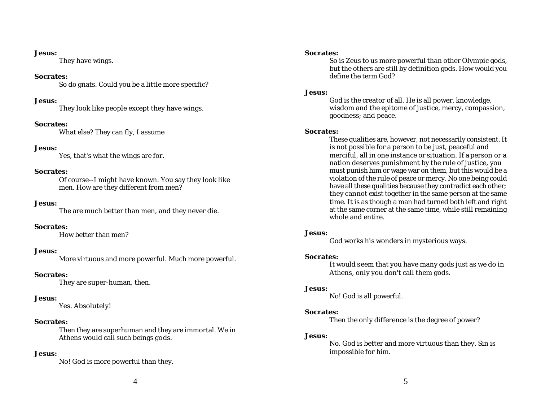### **Jesus:**

They have wings.

### **Socrates:**

So do gnats. Could you be a little more specific?

# **Jesus:**

They look like people except they have wings.

# **Socrates:**

What else? They can fly, I assume

# **Jesus:**

Yes, that's what the wings are for.

# **Socrates:**

Of course--I might have known. You say they look like men. How are they different from men?

# **Jesus:**

The are much better than men, and they never die.

### **Socrates:**

How better than men?

# **Jesus:**

More virtuous and more powerful. Much more powerful.

# **Socrates:**

They are super-human, then.

# **Jesus:**

Yes. Absolutely!

# **Socrates:**

Then they are superhuman and they are immortal. We in Athens would call such beings gods.

# **Jesus:**

No! God is more powerful than they.

### **Socrates:**

So is Zeus to us more powerful than other Olympic gods, but the others are still by definition gods. How would you define the term God?

# **Jesus:**

God is the creator of all. He is all power, knowledge, wisdom and the epitome of justice, mercy, compassion, goodness; and peace.

# **Socrates:**

These qualities are, however, not necessarily consistent. It is not possible for a person to be just, peaceful and merciful, all in one instance or situation. If a person or a nation deserves punishment by the rule of justice, you must punish him or wage war on them, but this would be a violation of the rule of peace or mercy. No one being could have all these qualities because they contradict each other; they cannot exist together in the same person at the same time. It is as though a man had turned both left and right at the same corner at the same time, while still remaining whole and entire.

# **Jesus:**

God works his wonders in mysterious ways.

### **Socrates:**

It would seem that you have many gods just as we do in Athens, only you don't call them gods.

### **Jesus:**

No! God is all powerful.

# **Socrates:**

Then the only difference is the degree of power?

# **Jesus:**

No. God is better and more virtuous than they. Sin is impossible for him.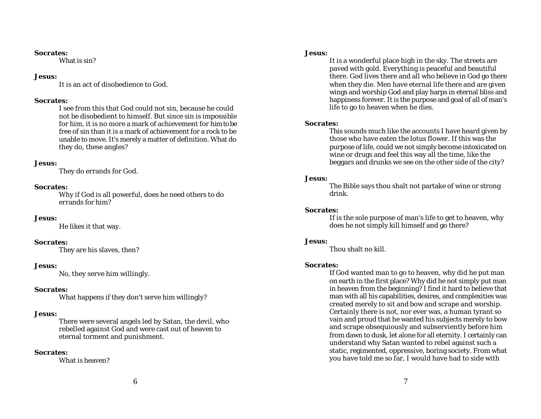### **Socrates:**

What is sin?

# **Jesus:**

It is an act of disobedience to God.

# **Socrates:**

I see from this that God could not sin, because he could not be disobedient to himself. But since sin is impossible for him, it is no more a mark of achievement for him to be free of sin than it is a mark of achievement for a rock to be unable to move. It's merely a matter of definition. What do they do, these angles?

# **Jesus:**

They do errands for God.

# **Socrates:**

Why if God is all powerful, does he need others to do errands for him?

# **Jesus:**

He likes it that way.

# **Socrates:**

They are his slaves, then?

# **Jesus:**

No, they serve him willingly.

# **Socrates:**

What happens if they don't serve him willingly?

# **Jesus:**

There were several angels led by Satan, the devil, who rebelled against God and were cast out of heaven to eternal torment and punishment.

# **Socrates:**

What is heaven?

# **Jesus:**

It is a wonderful place high in the sky. The streets are paved with gold. Everything is peaceful and beautiful there. God lives there and all who believe in God go there when they die. Men have eternal life there and are given wings and worship God and play harps in eternal bliss and happiness forever. It is the purpose and goal of all of man's life to go to heaven when he dies.

# **Socrates:**

This sounds much like the accounts I have heard given by those who have eaten the lotus flower. If this was the purpose of life, could we not simply become intoxicated on wine or drugs and feel this way all the time, like the beggars and drunks we see on the other side of the city?

# **Jesus:**

The Bible says thou shalt not partake of wine or strong drink.

# **Socrates:**

If is the sole purpose of man's life to get to heaven, why does he not simply kill himself and go there?

# **Jesus:**

Thou shalt no kill.

# **Socrates:**

If God wanted man to go to heaven, why did he put man on earth in the first place? Why did he not simply put man in heaven from the beginning? I find it hard to believe that man with all his capabilities, desires, and complexities was created merely to sit and bow and scrape and worship. Certainly there is not, nor ever was, a human tyrant so vain and proud that he wanted his subjects merely to bow and scrape obsequiously and subserviently before him from dawn to dusk, let alone for all eternity. I certainly can understand why Satan wanted to rebel against such a static, regimented, oppressive, boring society. From what you have told me so far, I would have had to side with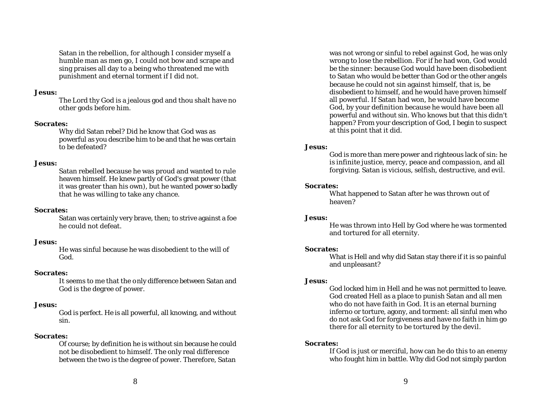Satan in the rebellion, for although I consider myself a humble man as men go, I could not bow and scrape and sing praises all day to a being who threatened me with punishment and eternal torment if I did not.

### **Jesus:**

The Lord thy God is a jealous god and thou shalt have no other gods before him.

### **Socrates:**

Why did Satan rebel? Did he know that God was as powerful as you describe him to be and that he was certain to be defeated?

# **Jesus:**

Satan rebelled because he was proud and wanted to rule heaven himself. He knew partly of God's great power (that it was greater than his own), but he wanted power so badly that he was willing to take any chance.

### **Socrates:**

Satan was certainly very brave, then; to strive against a foe he could not defeat.

### **Jesus:**

He was sinful because he was disobedient to the will of God.

### **Socrates:**

It seems to me that the only difference between Satan and God is the degree of power.

# **Jesus:**

God is perfect. He is all powerful, all knowing, and without sin.

# **Socrates:**

Of course; by definition he is without sin because he could not be disobedient to himself. The only real difference between the two is the degree of power. Therefore, Satan

was not wrong or sinful to rebel against God, he was only wrong to lose the rebellion. For if he had won, God would be the sinner: because God would have been disobedient to Satan who would be better than God or the other angels because he could not sin against himself, that is, be disobedient to himself, and he would have proven himself all powerful. If Satan had won, he would have become God, by your definition because he would have been all powerful and without sin. Who knows but that this didn't happen? From your description of God, I begin to suspect at this point that it did.

# **Jesus:**

God is more than mere power and righteous lack of sin: he is infinite justice, mercy, peace and compassion, and all forgiving. Satan is vicious, selfish, destructive, and evil.

# **Socrates:**

What happened to Satan after he was thrown out of heaven?

### **Jesus:**

He was thrown into Hell by God where he was tormented and tortured for all eternity.

### **Socrates:**

What is Hell and why did Satan stay there if it is so painful and unpleasant?

### **Jesus:**

God locked him in Hell and he was not permitted to leave. God created Hell as a place to punish Satan and all men who do not have faith in God. It is an eternal burning inferno or torture, agony, and torment: all sinful men who do not ask God for forgiveness and have no faith in him go there for all eternity to be tortured by the devil.

# **Socrates:**

If God is just or merciful, how can he do this to an enemy who fought him in battle. Why did God not simply pardon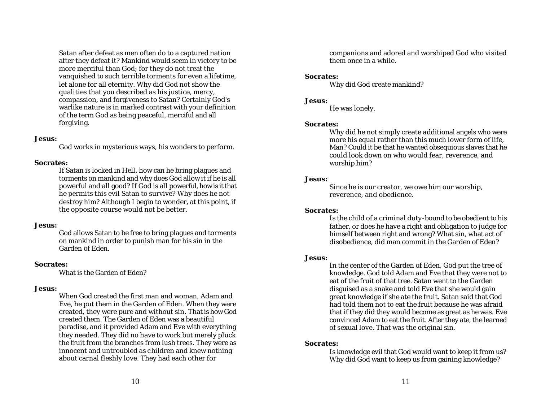Satan after defeat as men often do to a captured nation after they defeat it? Mankind would seem in victory to be more merciful than God; for they do not treat the vanquished to such terrible torments for even a lifetime, let alone for all eternity. Why did God not show the qualities that you described as his justice, mercy, compassion, and forgiveness to Satan? Certainly God's warlike nature is in marked contrast with your definition of the term God as being peaceful, merciful and all forgiving.

### **Jesus:**

God works in mysterious ways, his wonders to perform.

### **Socrates:**

If Satan is locked in Hell, how can he bring plagues and torments on mankind and why does God allow it if he is all powerful and all good? If God is all powerful, how is it that he permits this evil Satan to survive? Why does he not destroy him? Although I begin to wonder, at this point, if the opposite course would not be better.

### **Jesus:**

God allows Satan to be free to bring plagues and torments on mankind in order to punish man for his sin in the Garden of Eden.

### **Socrates:**

What is the Garden of Eden?

### **Jesus:**

When God created the first man and woman, Adam and Eve, he put them in the Garden of Eden. When they were created, they were pure and without sin. That is how God created them. The Garden of Eden was a beautiful paradise, and it provided Adam and Eve with everything they needed. They did no have to work but merely pluck the fruit from the branches from lush trees. They were as innocent and untroubled as children and knew nothing about carnal fleshly love. They had each other for

companions and adored and worshiped God who visited them once in a while.

### **Socrates:**

Why did God create mankind?

### **Jesus:**

He was lonely.

#### **Socrates:**

Why did he not simply create additional angels who were more his equal rather than this much lower form of life, Man? Could it be that he wanted obsequious slaves that he could look down on who would fear, reverence, and worship him?

### **Jesus:**

Since he is our creator, we owe him our worship, reverence, and obedience.

### **Socrates:**

Is the child of a criminal duty-bound to be obedient to his father, or does he have a right and obligation to judge for himself between right and wrong? What sin, what act of disobedience, did man commit in the Garden of Eden?

#### **Jesus:**

In the center of the Garden of Eden, God put the tree of knowledge. God told Adam and Eve that they were not to eat of the fruit of that tree. Satan went to the Garden disguised as a snake and told Eve that she would gain great knowledge if she ate the fruit. Satan said that God had told them not to eat the fruit because he was afraid that if they did they would become as great as he was. Eve convinced Adam to eat the fruit. After they ate, the learned of sexual love. That was the original sin.

### **Socrates:**

Is knowledge evil that God would want to keep it from us? Why did God want to keep us from gaining knowledge?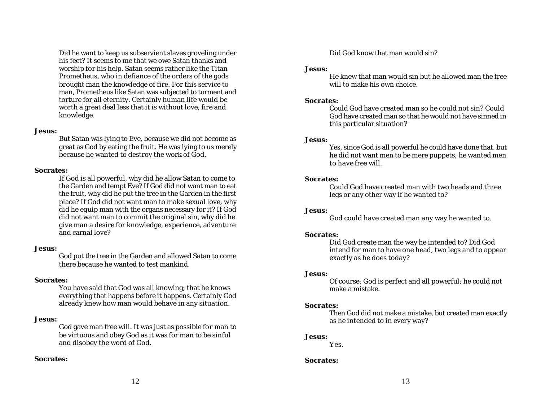Did he want to keep us subservient slaves groveling under his feet? It seems to me that we owe Satan thanks and worship for his help. Satan seems rather like the Titan Prometheus, who in defiance of the orders of the gods brought man the knowledge of fire. For this service to man, Prometheus like Satan was subjected to torment and torture for all eternity. Certainly human life would be worth a great deal less that it is without love, fire and knowledge.

### **Jesus:**

But Satan was lying to Eve, because we did not become as great as God by eating the fruit. He was lying to us merely because he wanted to destroy the work of God.

# **Socrates:**

If God is all powerful, why did he allow Satan to come to the Garden and tempt Eve? If God did not want man to eat the fruit, why did he put the tree in the Garden in the first place? If God did not want man to make sexual love, why did he equip man with the organs necessary for it? If God did not want man to commit the original sin, why did he give man a desire for knowledge, experience, adventure and carnal love?

# **Jesus:**

God put the tree in the Garden and allowed Satan to come there because he wanted to test mankind.

# **Socrates:**

You have said that God was all knowing; that he knows everything that happens before it happens. Certainly God already knew how man would behave in any situation.

# **Jesus:**

God gave man free will. It was just as possible for man to be virtuous and obey God as it was for man to be sinful and disobey the word of God.

# **Socrates:**

Did God know that man would sin?

# **Jesus:**

He knew that man would sin but he allowed man the free will to make his own choice.

# **Socrates:**

Could God have created man so he could not sin? Could God have created man so that he would not have sinned in this particular situation?

# **Jesus:**

Yes, since God is all powerful he could have done that, but he did not want men to be mere puppets; he wanted men to have free will.

# **Socrates:**

Could God have created man with two heads and three legs or any other way if he wanted to?

# **Jesus:**

God could have created man any way he wanted to.

# **Socrates:**

Did God create man the way he intended to? Did God intend for man to have one head, two legs and to appear exactly as he does today?

# **Jesus:**

Of course: God is perfect and all powerful; he could not make a mistake.

# **Socrates:**

Then God did not make a mistake, but created man exactly as he intended to in every way?

# **Jesus:**

Y es.

# **Socrates:**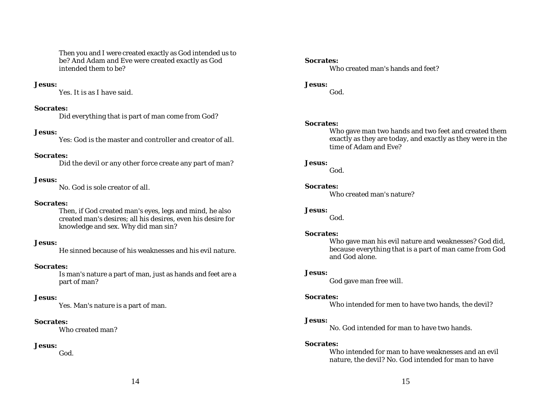Then you and I were created exactly as God intended us to be? And Adam and Eve were created exactly as God intended them to be?

### **Jesus:**

Yes. It is as I have said.

### **Socrates:**

Did everything that is part of man come from God?

#### **Jesus:**

Yes: God is the master and controller and creator of all.

#### **Socrates:**

Did the devil or any other force create any part of man?

### **Jesus:**

No. God is sole creator of all.

# **Socrates:**

Then, if God created man's eyes, legs and mind, he also created man's desires; all his desires, even his desire for knowledge and sex. Why did man sin?

#### **Jesus:**

He sinned because of his weaknesses and his evil nature.

#### **Socrates:**

Is man's nature a part of man, just as hands and feet are a part of man?

### **Jesus:**

Yes. Man's nature is a part of man.

#### **Socrates:**

Who created man?

### **Jesus:**

God.

### **Socrates:**

Who created man's hands and feet?

# **Jesus:**

God.

### **Socrates:**

Who gave man two hands and two feet and created them exactly as they are today, and exactly as they were in the time of Adam and Eve?

### **Jesus:**

God.

### **Socrates:**

Who created man's nature?

### **Jesus:**

God.

### **Socrates:**

Who gave man his evil nature and weaknesses? God did, because everything that is a part of man came from God and God alone.

#### **Jesus:**

God gave man free will.

### **Socrates:**

Who intended for men to have two hands, the devil?

#### **Jesus:**

No. God intended for man to have two hands.

# **Socrates:**

Who intended for man to have weaknesses and an evil nature, the devil? No. God intended for man to have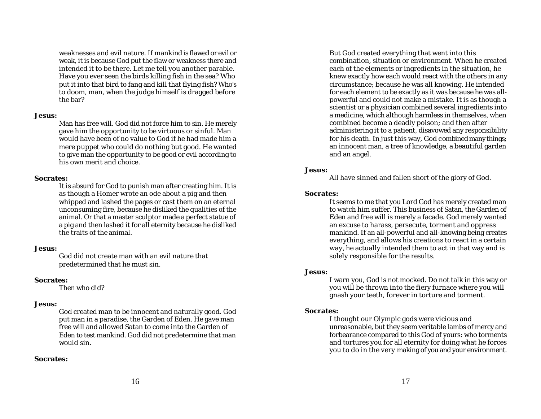weaknesses and evil nature. If mankind is flawed or evil or weak, it is because God put the flaw or weakness there and intended it to be there. Let me tell you another parable. Have you ever seen the birds killing fish in the sea? Who put it into that bird to fang and kill that flying fish? Who's to doom, man, when the judge himself is dragged before the bar?

### **Jesus:**

Man has free will. God did not force him to sin. He merely gave him the opportunity to be virtuous or sinful. Man would have been of no value to God if he had made him a mere puppet who could do nothing but good. He wanted to give man the opportunity to be good or evil according to his own merit and choice.

# **Socrates:**

It is absurd for God to punish man after creating him. It is as though a Homer wrote an ode about a pig and then whipped and lashed the pages or cast them on an eternal unconsuming fire, because he disliked the qualities of the animal. Or that a master sculptor made a perfect statue of a pig and then lashed it for all eternity because he disliked the traits of the animal.

# **Jesus:**

God did not create man with an evil nature that predetermined that he must sin.

# **Socrates:**

Then who did?

# **Jesus:**

God created man to be innocent and naturally good. God put man in a paradise, the Garden of Eden. He gave man free will and allowed Satan to come into the Garden of Eden to test mankind. God did not predetermine that man would sin.

# **Socrates:**

But God created everything that went into this combination, situation or environment. When he created each of the elements or ingredients in the situation, he knew exactly how each would react with the others in any circumstance; because he was all knowing. He intended for each element to be exactly as it was because he was allpowerful and could not make a mistake. It is as though a scientist or a physician combined several ingredients into a medicine, which although harmless in themselves, when combined become a deadly poison; and then after administering it to a patient, disavowed any responsibility for his death. In just this way, God combined many things; an innocent man, a tree of knowledge, a beautiful garden and an angel.

# **Jesus:**

All have sinned and fallen short of the glory of God.

# **Socrates:**

It seems to me that you Lord God has merely created man to watch him suffer. This business of Satan, the Garden of Eden and free will is merely a facade. God merely wanted an excuse to harass, persecute, torment and oppress mankind. If an all-powerful and all-knowing being creates everything, and allows his creations to react in a certain way, he actually intended them to act in that way and is solely responsible for the results.

# **Jesus:**

I warn you, God is not mocked. Do not talk in this way or you will be thrown into the fiery furnace where you will gnash your teeth, forever in torture and torment.

# **Socrates:**

I thought our Olympic gods were vicious and unreasonable, but they seem veritable lambs of mercy and forbearance compared to this God of yours: who torments and tortures you for all eternity for doing what he forces you to do in the very making of you and your environment.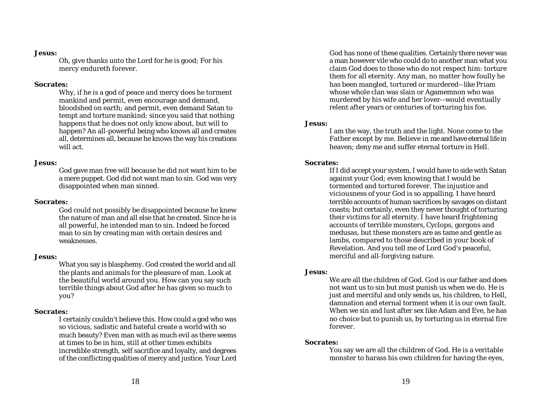### **Jesus:**

Oh, give thanks unto the Lord for he is good; For his mercy endureth forever.

### **Socrates:**

Why, if he is a god of peace and mercy does he torment mankind and permit, even encourage and demand, bloodshed on earth; and permit, even demand Satan to tempt and torture mankind: since you said that nothing happens that he does not only know about, but will to happen? An all-powerful being who knows all and creates all, determines all, because he knows the way his creations will act.

### **Jesus:**

God gave man free will because he did not want him to be a mere puppet. God did not want man to sin. God was very disappointed when man sinned.

### **Socrates:**

God could not possibly be disappointed because he knew the nature of man and all else that he created. Since he is all powerful, he intended man to sin. Indeed he forced man to sin by creating man with certain desires and weaknesses.

### **Jesus:**

What you say is blasphemy. God created the world and all the plants and animals for the pleasure of man. Look at the beautiful world around you. How can you say such terrible things about God after he has given so much to you?

### **Socrates:**

I certainly couldn't believe this. How could a god who was so vicious, sadistic and hateful create a world with so much beauty? Even man with as much evil as there seems at times to be in him, still at other times exhibits incredible strength, self sacrifice and loyalty, and degrees of the conflicting qualities of mercy and justice. Your Lord

God has none of these qualities. Certainly there never was a man however vile who could do to another man what you claim God does to those who do not respect him: torture them for all eternity. Any man, no matter how foully he has been mangled, tortured or murdered--like Priam whose whole clan was slain or Agamemnon who was murdered by his wife and her lover--would eventually relent after years or centuries of torturing his foe.

### **Jesus:**

I am the way, the truth and the light. None come to the Father except by me. Believe in me and have eternal life in heaven; deny me and suffer eternal torture in Hell.

### **Socrates:**

If I did accept your system, I would have to side with Satan against your God; even knowing that I would be tormented and tortured forever. The injustice and viciousness of your God is so appalling. I have heard terrible accounts of human sacrifices by savages on distant coasts; but certainly, even they never thought of torturing their victims for all eternity. I have heard frightening accounts of terrible monsters, Cyclops, gorgons and medusas, but these monsters are as tame and gentle as lambs, compared to those described in your book of Revelation. And you tell me of Lord God's peaceful, merciful and all-forgiving nature.

### **Jesus:**

We are all the children of God. God is our father and does not want us to sin but must punish us when we do. He is just and merciful and only sends us, his children, to Hell, damnation and eternal torment when it is our own fault. When we sin and lust after sex like Adam and Eve, he has no choice but to punish us, by torturing us in eternal fire forever.

### **Socrates:**

You say we are all the children of God. He is a veritable monster to harass his own children for having the eyes,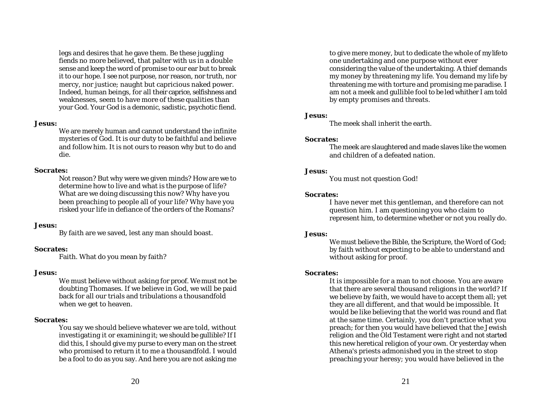legs and desires that he gave them. Be these juggling fiends no more believed, that palter with us in a double sense and keep the word of promise to our ear but to break it to our hope. I see not purpose, nor reason, nor truth, nor mercy, nor justice; naught but capricious naked power. Indeed, human beings, for all their caprice, selfishness and weaknesses, seem to have more of these qualities than your God. Your God is a demonic, sadistic, psychotic fiend.

# **Jesus:**

We are merely human and cannot understand the infinite mysteries of God. It is our duty to be faithful and believe and follow him. It is not ours to reason why but to do and die.

# **Socrates:**

Not reason? But why were we given minds? How are we to determine how to live and what is the purpose of life? What are we doing discussing this now? Why have you been preaching to people all of your life? Why have you risked your life in defiance of the orders of the Romans?

# **Jesus:**

By faith are we saved, lest any man should boast.

# **Socrates:**

Faith. What do you mean by faith?

### **Jesus:**

We must believe without asking for proof. We must not be doubting Thomases. If we believe in God, we will be paid back for all our trials and tribulations a thousandfold when we get to heaven.

# **Socrates:**

You say we should believe whatever we are told, without investigating it or examining it; we should be gullible? If I did this, I should give my purse to every man on the street who promised to return it to me a thousandfold. I would be a fool to do as you say. And here you are not asking me

to give mere money, but to dedicate the whole of my life to one undertaking and one purpose without ever considering the value of the undertaking. A thief demands my money by threatening my life. You demand my life by threatening me with torture and promising me paradise. I am not a meek and gullible fool to be led whither I am told by empty promises and threats.

# **Jesus:**

The meek shall inherit the earth.

### **Socrates:**

The meek are slaughtered and made slaves like the women and children of a defeated nation.

# **Jesus:**

You must not question God!

# **Socrates:**

I have never met this gentleman, and therefore can not question him. I am questioning you who claim to represent him, to determine whether or not you really do.

# **Jesus:**

We must believe the Bible, the Scripture, the Word of God; by faith without expecting to be able to understand and without asking for proof.

# **Socrates:**

It is impossible for a man to not choose. You are aware that there are several thousand religions in the world? If we believe by faith, we would have to accept them all; yet they are all different, and that would be impossible. It would be like believing that the world was round and flat at the same time. Certainly, you don't practice what you preach; for then you would have believed that the Jewish religion and the Old Testament were right and not started this new heretical religion of your own. Or yesterday when Athena's priests admonished you in the street to stop preaching your heresy; you would have believed in the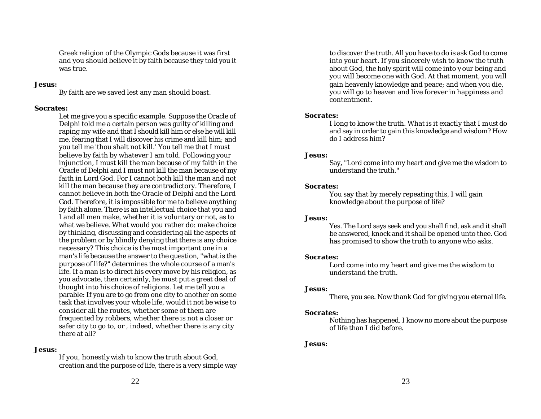Greek religion of the Olympic Gods because it was first and you should believe it by faith because they told you it was true.

### **Jesus:**

By faith are we saved lest any man should boast.

### **Socrates:**

Let me give you a specific example. Suppose the Oracle of Delphi told me a certain person was guilty of killing and raping my wife and that I should kill him or else he will kill me, fearing that I will discover his crime and kill him; and you tell me 'thou shalt not kill.' You tell me that I must believe by faith by whatever I am told. Following your injunction, I must kill the man because of my faith in the Oracle of Delphi and I must not kill the man because of my faith in Lord God. For I cannot both kill the man and not kill the man because they are contradictory. Therefore, I cannot believe in both the Oracle of Delphi and the Lord God. Therefore, it is impossible for me to believe anything by faith alone. There is an intellectual choice that you and I and all men make, whether it is voluntary or not, as to what we believe. What would you rather do: make choice by thinking, discussing and considering all the aspects of the problem or by blindly denying that there is any choice necessary? This choice is the most important one in a man's life because the answer to the question, "what is the purpose of life?" determines the whole course of a man's life. If a man is to direct his every move by his religion, as you advocate, then certainly, he must put a great deal of thought into his choice of religions. Let me tell you a parable: If you are to go from one city to another on some task that involves your whole life, would it not be wise to consider all the routes, whether some of them are frequented by robbers, whether there is not a closer or safer city to go to, or , indeed, whether there is any city there at all?

#### **Jesus:**

If you, honestly wish to know the truth about God, creation and the purpose of life, there is a very simple way

to discover the truth. All you have to do is ask God to come into your heart. If you sincerely wish to know the truth about God, the holy spirit will come into y our being and you will become one with God. At that moment, you will gain heavenly knowledge and peace; and when you die, you will go to heaven and live forever in happiness and contentment.

### **Socrates:**

I long to know the truth. What is it exactly that I must do and say in order to gain this knowledge and wisdom? How do I address him?

### **Jesus:**

Say, "Lord come into my heart and give me the wisdom to understand the truth."

#### **Socrates:**

You say that by merely repeating this, I will gain knowledge about the purpose of life?

### **Jesus:**

Yes. The Lord says seek and you shall find, ask and it shall be answered, knock and it shall be opened unto thee. God has promised to show the truth to anyone who asks.

#### **Socrates:**

Lord come into my heart and give me the wisdom to understand the truth.

### **Jesus:**

There, you see. Now thank God for giving you eternal life.

#### **Socrates:**

Nothing has happened. I know no more about the purpose of life than I did before.

### **Jesus:**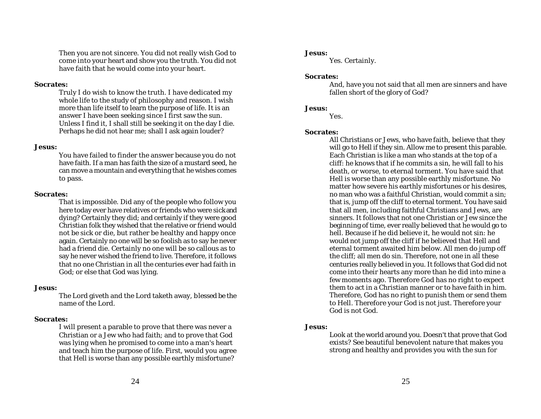Then you are not sincere. You did not really wish God to come into your heart and show you the truth. You did not have faith that he would come into your heart.

### **Socrates:**

Truly I do wish to know the truth. I have dedicated my whole life to the study of philosophy and reason. I wish more than life itself to learn the purpose of life. It is an answer I have been seeking since I first saw the sun. Unless I find it, I shall still be seeking it on the day I die. Perhaps he did not hear me; shall I ask again louder?

### **Jesus:**

You have failed to finder the answer because you do not have faith. If a man has faith the size of a mustard seed, he can move a mountain and everything that he wishes comes to pass.

### **Socrates:**

That is impossible. Did any of the people who follow you here today ever have relatives or friends who were sick and dying? Certainly they did; and certainly if they were good Christian folk they wished that the relative or friend would not be sick or die, but rather be healthy and happy once again. Certainly no one will be so foolish as to say he never had a friend die. Certainly no one will be so callous as to say he never wished the friend to live. Therefore, it follows that no one Christian in all the centuries ever had faith in God; or else that God was lying.

# **Jesus:**

The Lord giveth and the Lord taketh away, blessed be the name of the Lord.

# **Socrates:**

I will present a parable to prove that there was never a Christian or a Jew who had faith; and to prove that God was lying when he promised to come into a man's heart and teach him the purpose of life. First, would you agree that Hell is worse than any possible earthly misfortune?

# **Jesus:**

Yes. Certainly.

# **Socrates:**

And, have you not said that all men are sinners and have fallen short of the glory of God?

# **Jesus:**

Yes.

# **Socrates:**

All Christians or Jews, who have faith, believe that they will go to Hell if they sin. Allow me to present this parable. Each Christian is like a man who stands at the top of a cliff: he knows that if he commits a sin, he will fall to his death, or worse, to eternal torment. You have said that Hell is worse than any possible earthly misfortune. No matter how severe his earthly misfortunes or his desires, no man who was a faithful Christian, would commit a sin; that is, jump off the cliff to eternal torment. You have said that all men, including faithful Christians and Jews, are sinners. It follows that not one Christian or Jew since the beginning of time, ever really believed that he would go to hell. Because if he did believe it, he would not sin: he would not jump off the cliff if he believed that Hell and eternal torment awaited him below. All men do jump off the cliff; all men do sin. Therefore, not one in all these centuries really believed in you. It follows that God did not come into their hearts any more than he did into mine a few moments ago. Therefore God has no right to expect them to act in a Christian manner or to have faith in him. Therefore, God has no right to punish them or send them to Hell. Therefore your God is not just. Therefore your God is not God.

# **Jesus:**

Look at the world around you. Doesn't that prove that God exists? See beautiful benevolent nature that makes you strong and healthy and provides you with the sun for